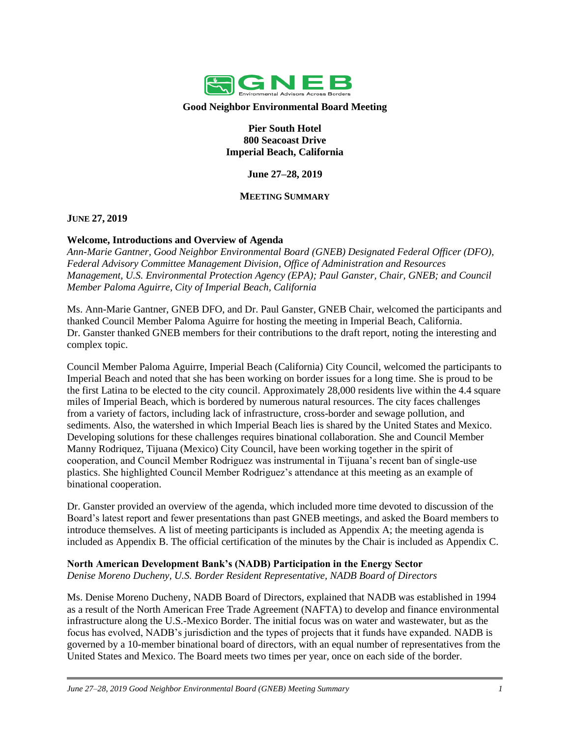

**Good Neighbor Environmental Board Meeting**

**Pier South Hotel 800 Seacoast Drive Imperial Beach, California**

**June 27–28, 2019**

## **MEETING SUMMARY**

**JUNE 27, 2019**

## **Welcome, Introductions and Overview of Agenda**

*Ann-Marie Gantner, Good Neighbor Environmental Board (GNEB) Designated Federal Officer (DFO), Federal Advisory Committee Management Division, Office of Administration and Resources Management, U.S. Environmental Protection Agency (EPA); Paul Ganster, Chair, GNEB; and Council Member Paloma Aguirre, City of Imperial Beach, California*

Ms. Ann-Marie Gantner, GNEB DFO, and Dr. Paul Ganster, GNEB Chair, welcomed the participants and thanked Council Member Paloma Aguirre for hosting the meeting in Imperial Beach, California. Dr. Ganster thanked GNEB members for their contributions to the draft report, noting the interesting and complex topic.

Council Member Paloma Aguirre, Imperial Beach (California) City Council, welcomed the participants to Imperial Beach and noted that she has been working on border issues for a long time. She is proud to be the first Latina to be elected to the city council. Approximately 28,000 residents live within the 4.4 square miles of Imperial Beach, which is bordered by numerous natural resources. The city faces challenges from a variety of factors, including lack of infrastructure, cross-border and sewage pollution, and sediments. Also, the watershed in which Imperial Beach lies is shared by the United States and Mexico. Developing solutions for these challenges requires binational collaboration. She and Council Member Manny Rodriquez, Tijuana (Mexico) City Council, have been working together in the spirit of cooperation, and Council Member Rodriguez was instrumental in Tijuana's recent ban of single-use plastics. She highlighted Council Member Rodriguez's attendance at this meeting as an example of binational cooperation.

Dr. Ganster provided an overview of the agenda, which included more time devoted to discussion of the Board's latest report and fewer presentations than past GNEB meetings, and asked the Board members to introduce themselves. A list of meeting participants is included as Appendix A; the meeting agenda is included as Appendix B. The official certification of the minutes by the Chair is included as Appendix C.

### **North American Development Bank's (NADB) Participation in the Energy Sector**

*Denise Moreno Ducheny, U.S. Border Resident Representative, NADB Board of Directors*

Ms. Denise Moreno Ducheny, NADB Board of Directors, explained that NADB was established in 1994 as a result of the North American Free Trade Agreement (NAFTA) to develop and finance environmental infrastructure along the U.S.-Mexico Border. The initial focus was on water and wastewater, but as the focus has evolved, NADB's jurisdiction and the types of projects that it funds have expanded. NADB is governed by a 10-member binational board of directors, with an equal number of representatives from the United States and Mexico. The Board meets two times per year, once on each side of the border.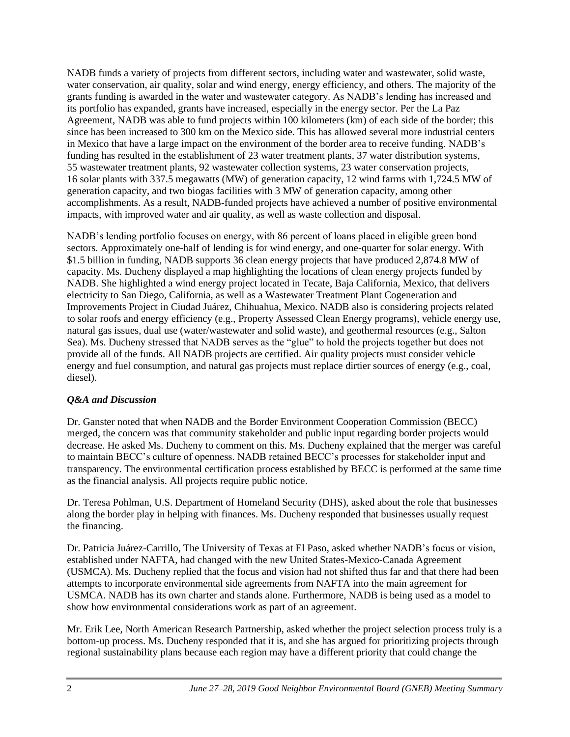NADB funds a variety of projects from different sectors, including water and wastewater, solid waste, water conservation, air quality, solar and wind energy, energy efficiency, and others. The majority of the grants funding is awarded in the water and wastewater category. As NADB's lending has increased and its portfolio has expanded, grants have increased, especially in the energy sector. Per the La Paz Agreement, NADB was able to fund projects within 100 kilometers (km) of each side of the border; this since has been increased to 300 km on the Mexico side. This has allowed several more industrial centers in Mexico that have a large impact on the environment of the border area to receive funding. NADB's funding has resulted in the establishment of 23 water treatment plants, 37 water distribution systems, 55 wastewater treatment plants, 92 wastewater collection systems, 23 water conservation projects, 16 solar plants with 337.5 megawatts (MW) of generation capacity, 12 wind farms with 1,724.5 MW of generation capacity, and two biogas facilities with 3 MW of generation capacity, among other accomplishments. As a result, NADB-funded projects have achieved a number of positive environmental impacts, with improved water and air quality, as well as waste collection and disposal.

NADB's lending portfolio focuses on energy, with 86 percent of loans placed in eligible green bond sectors. Approximately one-half of lending is for wind energy, and one-quarter for solar energy. With \$1.5 billion in funding, NADB supports 36 clean energy projects that have produced 2,874.8 MW of capacity. Ms. Ducheny displayed a map highlighting the locations of clean energy projects funded by NADB. She highlighted a wind energy project located in Tecate, Baja California, Mexico, that delivers electricity to San Diego, California, as well as a Wastewater Treatment Plant Cogeneration and Improvements Project in Ciudad Juárez, Chihuahua, Mexico. NADB also is considering projects related to solar roofs and energy efficiency (e.g., Property Assessed Clean Energy programs), vehicle energy use, natural gas issues, dual use (water/wastewater and solid waste), and geothermal resources (e.g., Salton Sea). Ms. Ducheny stressed that NADB serves as the "glue" to hold the projects together but does not provide all of the funds. All NADB projects are certified. Air quality projects must consider vehicle energy and fuel consumption, and natural gas projects must replace dirtier sources of energy (e.g., coal, diesel).

## *Q&A and Discussion*

Dr. Ganster noted that when NADB and the Border Environment Cooperation Commission (BECC) merged, the concern was that community stakeholder and public input regarding border projects would decrease. He asked Ms. Ducheny to comment on this. Ms. Ducheny explained that the merger was careful to maintain BECC's culture of openness. NADB retained BECC's processes for stakeholder input and transparency. The environmental certification process established by BECC is performed at the same time as the financial analysis. All projects require public notice.

Dr. Teresa Pohlman, U.S. Department of Homeland Security (DHS), asked about the role that businesses along the border play in helping with finances. Ms. Ducheny responded that businesses usually request the financing.

Dr. Patricia Juárez-Carrillo, The University of Texas at El Paso, asked whether NADB's focus or vision, established under NAFTA, had changed with the new United States-Mexico-Canada Agreement (USMCA). Ms. Ducheny replied that the focus and vision had not shifted thus far and that there had been attempts to incorporate environmental side agreements from NAFTA into the main agreement for USMCA. NADB has its own charter and stands alone. Furthermore, NADB is being used as a model to show how environmental considerations work as part of an agreement.

Mr. Erik Lee, North American Research Partnership, asked whether the project selection process truly is a bottom-up process. Ms. Ducheny responded that it is, and she has argued for prioritizing projects through regional sustainability plans because each region may have a different priority that could change the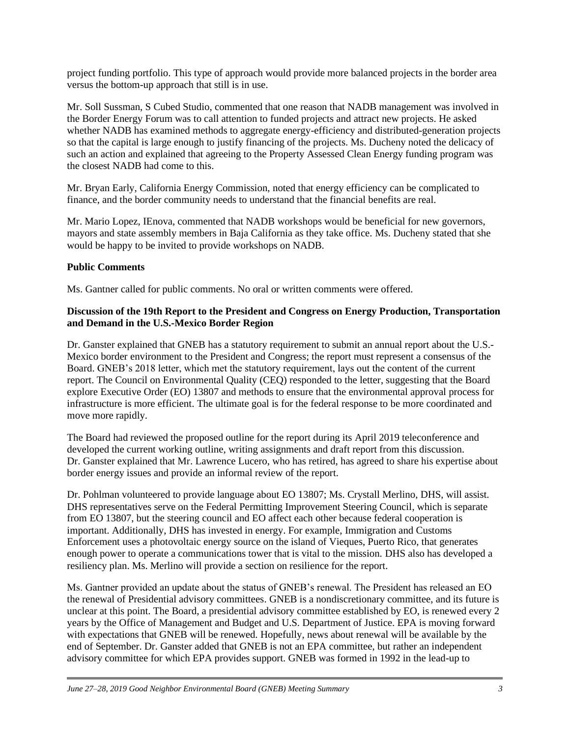project funding portfolio. This type of approach would provide more balanced projects in the border area versus the bottom-up approach that still is in use.

Mr. Soll Sussman, S Cubed Studio, commented that one reason that NADB management was involved in the Border Energy Forum was to call attention to funded projects and attract new projects. He asked whether NADB has examined methods to aggregate energy-efficiency and distributed-generation projects so that the capital is large enough to justify financing of the projects. Ms. Ducheny noted the delicacy of such an action and explained that agreeing to the Property Assessed Clean Energy funding program was the closest NADB had come to this.

Mr. Bryan Early, California Energy Commission, noted that energy efficiency can be complicated to finance, and the border community needs to understand that the financial benefits are real.

Mr. Mario Lopez, IEnova, commented that NADB workshops would be beneficial for new governors, mayors and state assembly members in Baja California as they take office. Ms. Ducheny stated that she would be happy to be invited to provide workshops on NADB.

## **Public Comments**

Ms. Gantner called for public comments. No oral or written comments were offered.

## **Discussion of the 19th Report to the President and Congress on Energy Production, Transportation and Demand in the U.S.-Mexico Border Region**

Dr. Ganster explained that GNEB has a statutory requirement to submit an annual report about the U.S.- Mexico border environment to the President and Congress; the report must represent a consensus of the Board. GNEB's 2018 letter, which met the statutory requirement, lays out the content of the current report. The Council on Environmental Quality (CEQ) responded to the letter, suggesting that the Board explore Executive Order (EO) 13807 and methods to ensure that the environmental approval process for infrastructure is more efficient. The ultimate goal is for the federal response to be more coordinated and move more rapidly.

The Board had reviewed the proposed outline for the report during its April 2019 teleconference and developed the current working outline, writing assignments and draft report from this discussion. Dr. Ganster explained that Mr. Lawrence Lucero, who has retired, has agreed to share his expertise about border energy issues and provide an informal review of the report.

Dr. Pohlman volunteered to provide language about EO 13807; Ms. Crystall Merlino, DHS, will assist. DHS representatives serve on the Federal Permitting Improvement Steering Council, which is separate from EO 13807, but the steering council and EO affect each other because federal cooperation is important. Additionally, DHS has invested in energy. For example, Immigration and Customs Enforcement uses a photovoltaic energy source on the island of Vieques, Puerto Rico, that generates enough power to operate a communications tower that is vital to the mission. DHS also has developed a resiliency plan. Ms. Merlino will provide a section on resilience for the report.

Ms. Gantner provided an update about the status of GNEB's renewal. The President has released an EO the renewal of Presidential advisory committees. GNEB is a nondiscretionary committee, and its future is unclear at this point. The Board, a presidential advisory committee established by EO, is renewed every 2 years by the Office of Management and Budget and U.S. Department of Justice. EPA is moving forward with expectations that GNEB will be renewed. Hopefully, news about renewal will be available by the end of September. Dr. Ganster added that GNEB is not an EPA committee, but rather an independent advisory committee for which EPA provides support. GNEB was formed in 1992 in the lead-up to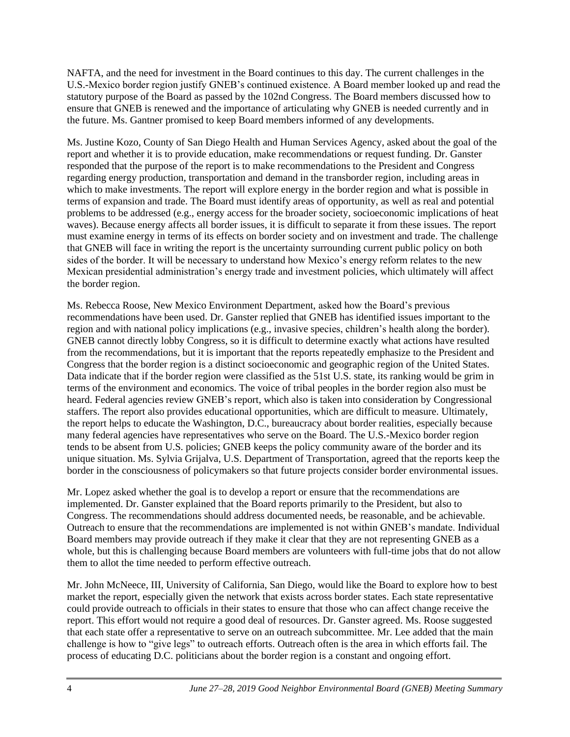NAFTA, and the need for investment in the Board continues to this day. The current challenges in the U.S.-Mexico border region justify GNEB's continued existence. A Board member looked up and read the statutory purpose of the Board as passed by the 102nd Congress. The Board members discussed how to ensure that GNEB is renewed and the importance of articulating why GNEB is needed currently and in the future. Ms. Gantner promised to keep Board members informed of any developments.

Ms. Justine Kozo, County of San Diego Health and Human Services Agency, asked about the goal of the report and whether it is to provide education, make recommendations or request funding. Dr. Ganster responded that the purpose of the report is to make recommendations to the President and Congress regarding energy production, transportation and demand in the transborder region, including areas in which to make investments. The report will explore energy in the border region and what is possible in terms of expansion and trade. The Board must identify areas of opportunity, as well as real and potential problems to be addressed (e.g., energy access for the broader society, socioeconomic implications of heat waves). Because energy affects all border issues, it is difficult to separate it from these issues. The report must examine energy in terms of its effects on border society and on investment and trade. The challenge that GNEB will face in writing the report is the uncertainty surrounding current public policy on both sides of the border. It will be necessary to understand how Mexico's energy reform relates to the new Mexican presidential administration's energy trade and investment policies, which ultimately will affect the border region.

Ms. Rebecca Roose, New Mexico Environment Department, asked how the Board's previous recommendations have been used. Dr. Ganster replied that GNEB has identified issues important to the region and with national policy implications (e.g., invasive species, children's health along the border). GNEB cannot directly lobby Congress, so it is difficult to determine exactly what actions have resulted from the recommendations, but it is important that the reports repeatedly emphasize to the President and Congress that the border region is a distinct socioeconomic and geographic region of the United States. Data indicate that if the border region were classified as the 51st U.S. state, its ranking would be grim in terms of the environment and economics. The voice of tribal peoples in the border region also must be heard. Federal agencies review GNEB's report, which also is taken into consideration by Congressional staffers. The report also provides educational opportunities, which are difficult to measure. Ultimately, the report helps to educate the Washington, D.C., bureaucracy about border realities, especially because many federal agencies have representatives who serve on the Board. The U.S.-Mexico border region tends to be absent from U.S. policies; GNEB keeps the policy community aware of the border and its unique situation. Ms. Sylvia Grijalva, U.S. Department of Transportation, agreed that the reports keep the border in the consciousness of policymakers so that future projects consider border environmental issues.

Mr. Lopez asked whether the goal is to develop a report or ensure that the recommendations are implemented. Dr. Ganster explained that the Board reports primarily to the President, but also to Congress. The recommendations should address documented needs, be reasonable, and be achievable. Outreach to ensure that the recommendations are implemented is not within GNEB's mandate. Individual Board members may provide outreach if they make it clear that they are not representing GNEB as a whole, but this is challenging because Board members are volunteers with full-time jobs that do not allow them to allot the time needed to perform effective outreach.

Mr. John McNeece, III, University of California, San Diego, would like the Board to explore how to best market the report, especially given the network that exists across border states. Each state representative could provide outreach to officials in their states to ensure that those who can affect change receive the report. This effort would not require a good deal of resources. Dr. Ganster agreed. Ms. Roose suggested that each state offer a representative to serve on an outreach subcommittee. Mr. Lee added that the main challenge is how to "give legs" to outreach efforts. Outreach often is the area in which efforts fail. The process of educating D.C. politicians about the border region is a constant and ongoing effort.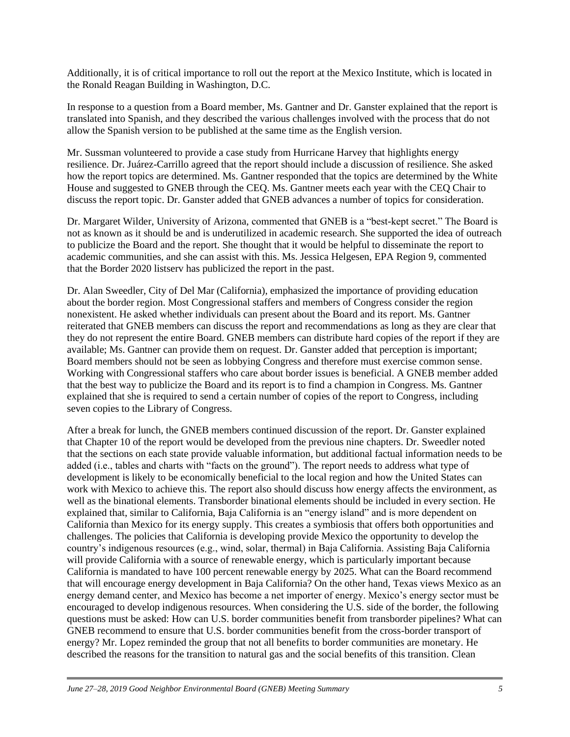Additionally, it is of critical importance to roll out the report at the Mexico Institute, which is located in the Ronald Reagan Building in Washington, D.C.

In response to a question from a Board member, Ms. Gantner and Dr. Ganster explained that the report is translated into Spanish, and they described the various challenges involved with the process that do not allow the Spanish version to be published at the same time as the English version.

Mr. Sussman volunteered to provide a case study from Hurricane Harvey that highlights energy resilience. Dr. Juárez-Carrillo agreed that the report should include a discussion of resilience. She asked how the report topics are determined. Ms. Gantner responded that the topics are determined by the White House and suggested to GNEB through the CEQ. Ms. Gantner meets each year with the CEQ Chair to discuss the report topic. Dr. Ganster added that GNEB advances a number of topics for consideration.

Dr. Margaret Wilder, University of Arizona, commented that GNEB is a "best-kept secret." The Board is not as known as it should be and is underutilized in academic research. She supported the idea of outreach to publicize the Board and the report. She thought that it would be helpful to disseminate the report to academic communities, and she can assist with this. Ms. Jessica Helgesen, EPA Region 9, commented that the Border 2020 listserv has publicized the report in the past.

Dr. Alan Sweedler, City of Del Mar (California), emphasized the importance of providing education about the border region. Most Congressional staffers and members of Congress consider the region nonexistent. He asked whether individuals can present about the Board and its report. Ms. Gantner reiterated that GNEB members can discuss the report and recommendations as long as they are clear that they do not represent the entire Board. GNEB members can distribute hard copies of the report if they are available; Ms. Gantner can provide them on request. Dr. Ganster added that perception is important; Board members should not be seen as lobbying Congress and therefore must exercise common sense. Working with Congressional staffers who care about border issues is beneficial. A GNEB member added that the best way to publicize the Board and its report is to find a champion in Congress. Ms. Gantner explained that she is required to send a certain number of copies of the report to Congress, including seven copies to the Library of Congress.

After a break for lunch, the GNEB members continued discussion of the report. Dr. Ganster explained that Chapter 10 of the report would be developed from the previous nine chapters. Dr. Sweedler noted that the sections on each state provide valuable information, but additional factual information needs to be added (i.e., tables and charts with "facts on the ground"). The report needs to address what type of development is likely to be economically beneficial to the local region and how the United States can work with Mexico to achieve this. The report also should discuss how energy affects the environment, as well as the binational elements. Transborder binational elements should be included in every section. He explained that, similar to California, Baja California is an "energy island" and is more dependent on California than Mexico for its energy supply. This creates a symbiosis that offers both opportunities and challenges. The policies that California is developing provide Mexico the opportunity to develop the country's indigenous resources (e.g., wind, solar, thermal) in Baja California. Assisting Baja California will provide California with a source of renewable energy, which is particularly important because California is mandated to have 100 percent renewable energy by 2025. What can the Board recommend that will encourage energy development in Baja California? On the other hand, Texas views Mexico as an energy demand center, and Mexico has become a net importer of energy. Mexico's energy sector must be encouraged to develop indigenous resources. When considering the U.S. side of the border, the following questions must be asked: How can U.S. border communities benefit from transborder pipelines? What can GNEB recommend to ensure that U.S. border communities benefit from the cross-border transport of energy? Mr. Lopez reminded the group that not all benefits to border communities are monetary. He described the reasons for the transition to natural gas and the social benefits of this transition. Clean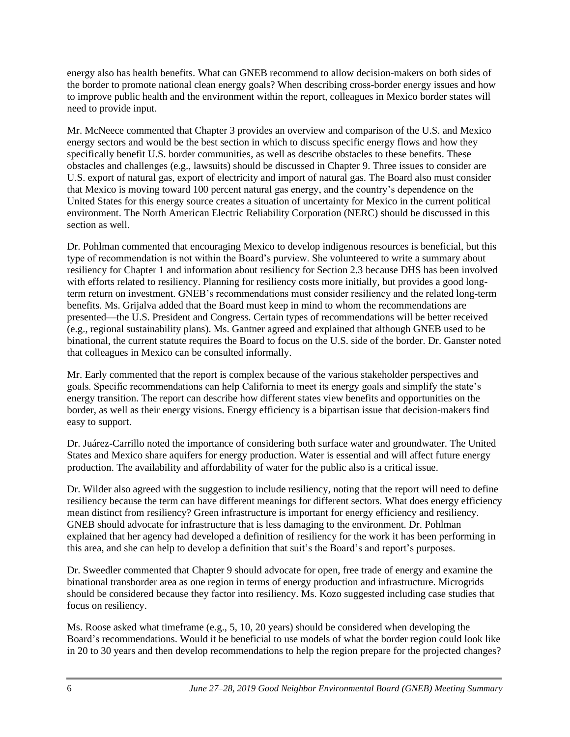energy also has health benefits. What can GNEB recommend to allow decision-makers on both sides of the border to promote national clean energy goals? When describing cross-border energy issues and how to improve public health and the environment within the report, colleagues in Mexico border states will need to provide input.

Mr. McNeece commented that Chapter 3 provides an overview and comparison of the U.S. and Mexico energy sectors and would be the best section in which to discuss specific energy flows and how they specifically benefit U.S. border communities, as well as describe obstacles to these benefits. These obstacles and challenges (e.g., lawsuits) should be discussed in Chapter 9. Three issues to consider are U.S. export of natural gas, export of electricity and import of natural gas. The Board also must consider that Mexico is moving toward 100 percent natural gas energy, and the country's dependence on the United States for this energy source creates a situation of uncertainty for Mexico in the current political environment. The North American Electric Reliability Corporation (NERC) should be discussed in this section as well.

Dr. Pohlman commented that encouraging Mexico to develop indigenous resources is beneficial, but this type of recommendation is not within the Board's purview. She volunteered to write a summary about resiliency for Chapter 1 and information about resiliency for Section 2.3 because DHS has been involved with efforts related to resiliency. Planning for resiliency costs more initially, but provides a good longterm return on investment. GNEB's recommendations must consider resiliency and the related long-term benefits. Ms. Grijalva added that the Board must keep in mind to whom the recommendations are presented—the U.S. President and Congress. Certain types of recommendations will be better received (e.g., regional sustainability plans). Ms. Gantner agreed and explained that although GNEB used to be binational, the current statute requires the Board to focus on the U.S. side of the border. Dr. Ganster noted that colleagues in Mexico can be consulted informally.

Mr. Early commented that the report is complex because of the various stakeholder perspectives and goals. Specific recommendations can help California to meet its energy goals and simplify the state's energy transition. The report can describe how different states view benefits and opportunities on the border, as well as their energy visions. Energy efficiency is a bipartisan issue that decision-makers find easy to support.

Dr. Juárez-Carrillo noted the importance of considering both surface water and groundwater. The United States and Mexico share aquifers for energy production. Water is essential and will affect future energy production. The availability and affordability of water for the public also is a critical issue.

Dr. Wilder also agreed with the suggestion to include resiliency, noting that the report will need to define resiliency because the term can have different meanings for different sectors. What does energy efficiency mean distinct from resiliency? Green infrastructure is important for energy efficiency and resiliency. GNEB should advocate for infrastructure that is less damaging to the environment. Dr. Pohlman explained that her agency had developed a definition of resiliency for the work it has been performing in this area, and she can help to develop a definition that suit's the Board's and report's purposes.

Dr. Sweedler commented that Chapter 9 should advocate for open, free trade of energy and examine the binational transborder area as one region in terms of energy production and infrastructure. Microgrids should be considered because they factor into resiliency. Ms. Kozo suggested including case studies that focus on resiliency.

Ms. Roose asked what timeframe (e.g., 5, 10, 20 years) should be considered when developing the Board's recommendations. Would it be beneficial to use models of what the border region could look like in 20 to 30 years and then develop recommendations to help the region prepare for the projected changes?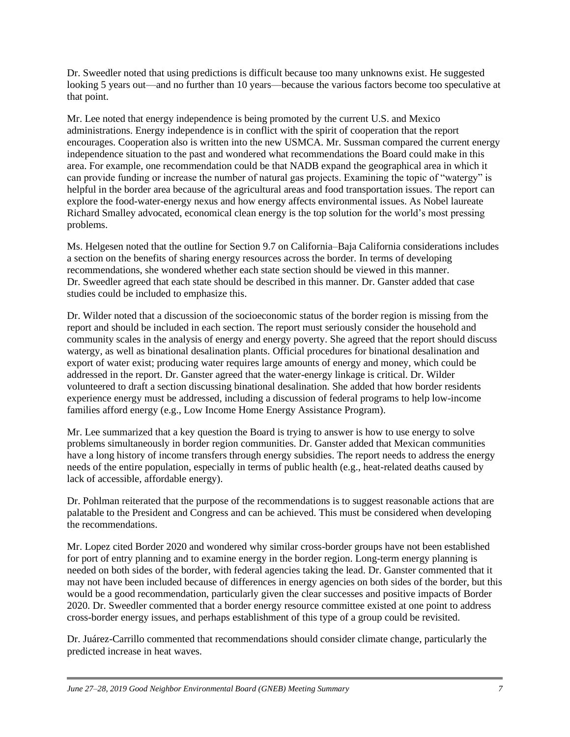Dr. Sweedler noted that using predictions is difficult because too many unknowns exist. He suggested looking 5 years out—and no further than 10 years—because the various factors become too speculative at that point.

Mr. Lee noted that energy independence is being promoted by the current U.S. and Mexico administrations. Energy independence is in conflict with the spirit of cooperation that the report encourages. Cooperation also is written into the new USMCA. Mr. Sussman compared the current energy independence situation to the past and wondered what recommendations the Board could make in this area. For example, one recommendation could be that NADB expand the geographical area in which it can provide funding or increase the number of natural gas projects. Examining the topic of "watergy" is helpful in the border area because of the agricultural areas and food transportation issues. The report can explore the food-water-energy nexus and how energy affects environmental issues. As Nobel laureate Richard Smalley advocated, economical clean energy is the top solution for the world's most pressing problems.

Ms. Helgesen noted that the outline for Section 9.7 on California–Baja California considerations includes a section on the benefits of sharing energy resources across the border. In terms of developing recommendations, she wondered whether each state section should be viewed in this manner. Dr. Sweedler agreed that each state should be described in this manner. Dr. Ganster added that case studies could be included to emphasize this.

Dr. Wilder noted that a discussion of the socioeconomic status of the border region is missing from the report and should be included in each section. The report must seriously consider the household and community scales in the analysis of energy and energy poverty. She agreed that the report should discuss watergy, as well as binational desalination plants. Official procedures for binational desalination and export of water exist; producing water requires large amounts of energy and money, which could be addressed in the report. Dr. Ganster agreed that the water-energy linkage is critical. Dr. Wilder volunteered to draft a section discussing binational desalination. She added that how border residents experience energy must be addressed, including a discussion of federal programs to help low-income families afford energy (e.g., Low Income Home Energy Assistance Program).

Mr. Lee summarized that a key question the Board is trying to answer is how to use energy to solve problems simultaneously in border region communities. Dr. Ganster added that Mexican communities have a long history of income transfers through energy subsidies. The report needs to address the energy needs of the entire population, especially in terms of public health (e.g., heat-related deaths caused by lack of accessible, affordable energy).

Dr. Pohlman reiterated that the purpose of the recommendations is to suggest reasonable actions that are palatable to the President and Congress and can be achieved. This must be considered when developing the recommendations.

Mr. Lopez cited Border 2020 and wondered why similar cross-border groups have not been established for port of entry planning and to examine energy in the border region. Long-term energy planning is needed on both sides of the border, with federal agencies taking the lead. Dr. Ganster commented that it may not have been included because of differences in energy agencies on both sides of the border, but this would be a good recommendation, particularly given the clear successes and positive impacts of Border 2020. Dr. Sweedler commented that a border energy resource committee existed at one point to address cross-border energy issues, and perhaps establishment of this type of a group could be revisited.

Dr. Juárez-Carrillo commented that recommendations should consider climate change, particularly the predicted increase in heat waves.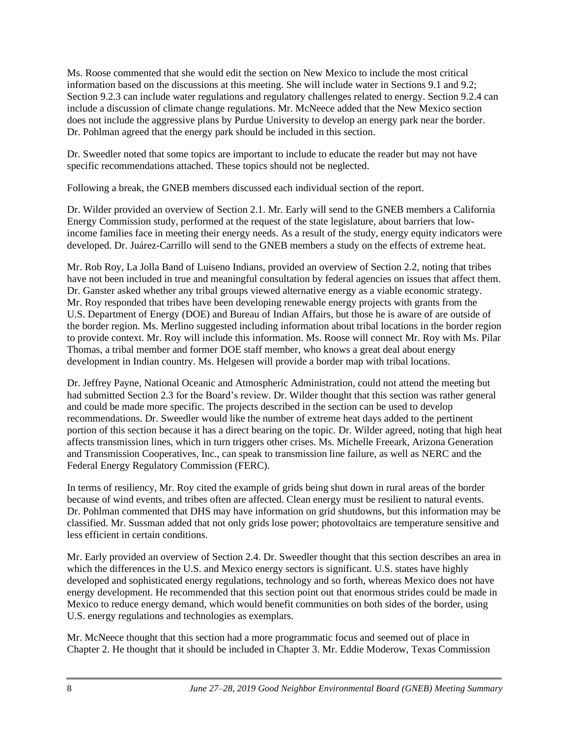Ms. Roose commented that she would edit the section on New Mexico to include the most critical information based on the discussions at this meeting. She will include water in Sections 9.1 and 9.2; Section 9.2.3 can include water regulations and regulatory challenges related to energy. Section 9.2.4 can include a discussion of climate change regulations. Mr. McNeece added that the New Mexico section does not include the aggressive plans by Purdue University to develop an energy park near the border. Dr. Pohlman agreed that the energy park should be included in this section.

Dr. Sweedler noted that some topics are important to include to educate the reader but may not have specific recommendations attached. These topics should not be neglected.

Following a break, the GNEB members discussed each individual section of the report.

Dr. Wilder provided an overview of Section 2.1. Mr. Early will send to the GNEB members a California Energy Commission study, performed at the request of the state legislature, about barriers that lowincome families face in meeting their energy needs. As a result of the study, energy equity indicators were developed. Dr. Juárez-Carrillo will send to the GNEB members a study on the effects of extreme heat.

Mr. Rob Roy, La Jolla Band of Luiseno Indians, provided an overview of Section 2.2, noting that tribes have not been included in true and meaningful consultation by federal agencies on issues that affect them. Dr. Ganster asked whether any tribal groups viewed alternative energy as a viable economic strategy. Mr. Roy responded that tribes have been developing renewable energy projects with grants from the U.S. Department of Energy (DOE) and Bureau of Indian Affairs, but those he is aware of are outside of the border region. Ms. Merlino suggested including information about tribal locations in the border region to provide context. Mr. Roy will include this information. Ms. Roose will connect Mr. Roy with Ms. Pilar Thomas, a tribal member and former DOE staff member, who knows a great deal about energy development in Indian country. Ms. Helgesen will provide a border map with tribal locations.

Dr. Jeffrey Payne, National Oceanic and Atmospheric Administration, could not attend the meeting but had submitted Section 2.3 for the Board's review. Dr. Wilder thought that this section was rather general and could be made more specific. The projects described in the section can be used to develop recommendations. Dr. Sweedler would like the number of extreme heat days added to the pertinent portion of this section because it has a direct bearing on the topic. Dr. Wilder agreed, noting that high heat affects transmission lines, which in turn triggers other crises. Ms. Michelle Freeark, Arizona Generation and Transmission Cooperatives, Inc., can speak to transmission line failure, as well as NERC and the Federal Energy Regulatory Commission (FERC).

In terms of resiliency, Mr. Roy cited the example of grids being shut down in rural areas of the border because of wind events, and tribes often are affected. Clean energy must be resilient to natural events. Dr. Pohlman commented that DHS may have information on grid shutdowns, but this information may be classified. Mr. Sussman added that not only grids lose power; photovoltaics are temperature sensitive and less efficient in certain conditions.

Mr. Early provided an overview of Section 2.4. Dr. Sweedler thought that this section describes an area in which the differences in the U.S. and Mexico energy sectors is significant. U.S. states have highly developed and sophisticated energy regulations, technology and so forth, whereas Mexico does not have energy development. He recommended that this section point out that enormous strides could be made in Mexico to reduce energy demand, which would benefit communities on both sides of the border, using U.S. energy regulations and technologies as exemplars.

Mr. McNeece thought that this section had a more programmatic focus and seemed out of place in Chapter 2. He thought that it should be included in Chapter 3. Mr. Eddie Moderow, Texas Commission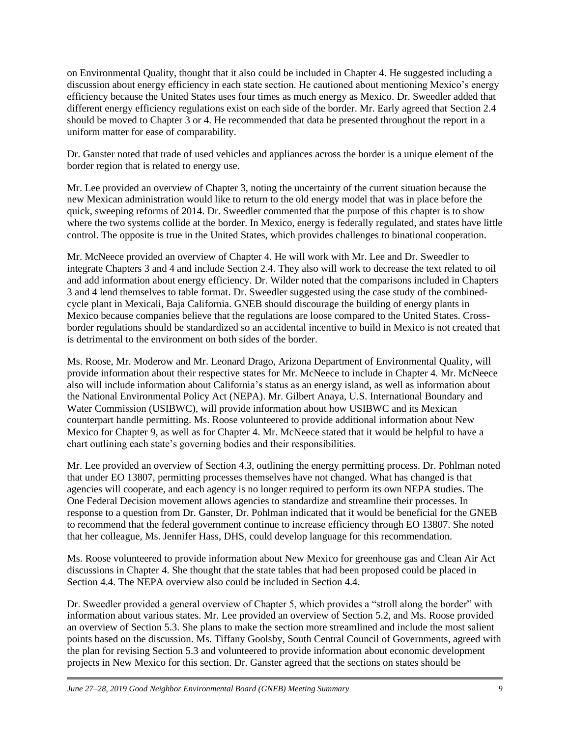on Environmental Quality, thought that it also could be included in Chapter 4. He suggested including a discussion about energy efficiency in each state section. He cautioned about mentioning Mexico's energy efficiency because the United States uses four times as much energy as Mexico. Dr. Sweedler added that different energy efficiency regulations exist on each side of the border. Mr. Early agreed that Section 2.4 should be moved to Chapter 3 or 4. He recommended that data be presented throughout the report in a uniform matter for ease of comparability.

Dr. Ganster noted that trade of used vehicles and appliances across the border is a unique element of the border region that is related to energy use.

Mr. Lee provided an overview of Chapter 3, noting the uncertainty of the current situation because the new Mexican administration would like to return to the old energy model that was in place before the quick, sweeping reforms of 2014. Dr. Sweedler commented that the purpose of this chapter is to show where the two systems collide at the border. In Mexico, energy is federally regulated, and states have little control. The opposite is true in the United States, which provides challenges to binational cooperation.

Mr. McNeece provided an overview of Chapter 4. He will work with Mr. Lee and Dr. Sweedler to integrate Chapters 3 and 4 and include Section 2.4. They also will work to decrease the text related to oil and add information about energy efficiency. Dr. Wilder noted that the comparisons included in Chapters 3 and 4 lend themselves to table format. Dr. Sweedler suggested using the case study of the combinedcycle plant in Mexicali, Baja California. GNEB should discourage the building of energy plants in Mexico because companies believe that the regulations are loose compared to the United States. Crossborder regulations should be standardized so an accidental incentive to build in Mexico is not created that is detrimental to the environment on both sides of the border.

Ms. Roose, Mr. Moderow and Mr. Leonard Drago, Arizona Department of Environmental Quality, will provide information about their respective states for Mr. McNeece to include in Chapter 4. Mr. McNeece also will include information about California's status as an energy island, as well as information about the National Environmental Policy Act (NEPA). Mr. Gilbert Anaya, U.S. International Boundary and Water Commission (USIBWC), will provide information about how USIBWC and its Mexican counterpart handle permitting. Ms. Roose volunteered to provide additional information about New Mexico for Chapter 9, as well as for Chapter 4. Mr. McNeece stated that it would be helpful to have a chart outlining each state's governing bodies and their responsibilities.

Mr. Lee provided an overview of Section 4.3, outlining the energy permitting process. Dr. Pohlman noted that under EO 13807, permitting processes themselves have not changed. What has changed is that agencies will cooperate, and each agency is no longer required to perform its own NEPA studies. The One Federal Decision movement allows agencies to standardize and streamline their processes. In response to a question from Dr. Ganster, Dr. Pohlman indicated that it would be beneficial for the GNEB to recommend that the federal government continue to increase efficiency through EO 13807. She noted that her colleague, Ms. Jennifer Hass, DHS, could develop language for this recommendation.

Ms. Roose volunteered to provide information about New Mexico for greenhouse gas and Clean Air Act discussions in Chapter 4. She thought that the state tables that had been proposed could be placed in Section 4.4. The NEPA overview also could be included in Section 4.4.

Dr. Sweedler provided a general overview of Chapter 5, which provides a "stroll along the border" with information about various states. Mr. Lee provided an overview of Section 5.2, and Ms. Roose provided an overview of Section 5.3. She plans to make the section more streamlined and include the most salient points based on the discussion. Ms. Tiffany Goolsby, South Central Council of Governments, agreed with the plan for revising Section 5.3 and volunteered to provide information about economic development projects in New Mexico for this section. Dr. Ganster agreed that the sections on states should be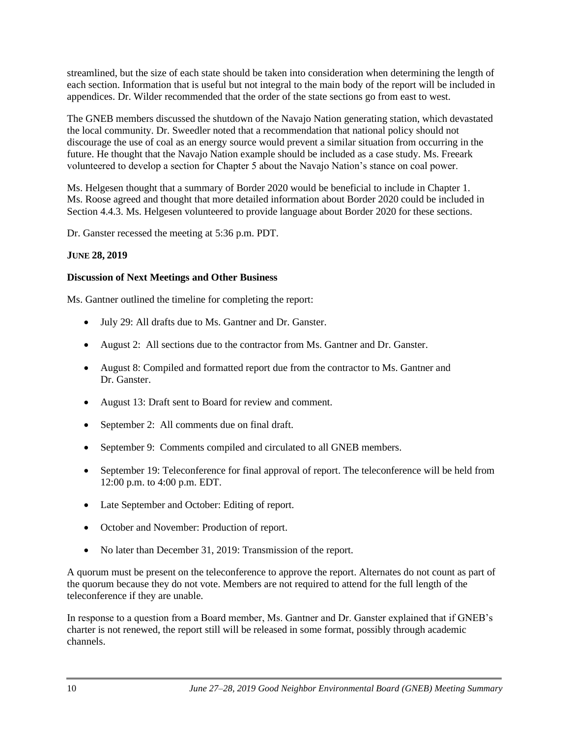streamlined, but the size of each state should be taken into consideration when determining the length of each section. Information that is useful but not integral to the main body of the report will be included in appendices. Dr. Wilder recommended that the order of the state sections go from east to west.

The GNEB members discussed the shutdown of the Navajo Nation generating station, which devastated the local community. Dr. Sweedler noted that a recommendation that national policy should not discourage the use of coal as an energy source would prevent a similar situation from occurring in the future. He thought that the Navajo Nation example should be included as a case study. Ms. Freeark volunteered to develop a section for Chapter 5 about the Navajo Nation's stance on coal power.

Ms. Helgesen thought that a summary of Border 2020 would be beneficial to include in Chapter 1. Ms. Roose agreed and thought that more detailed information about Border 2020 could be included in Section 4.4.3. Ms. Helgesen volunteered to provide language about Border 2020 for these sections.

Dr. Ganster recessed the meeting at 5:36 p.m. PDT.

## **JUNE 28, 2019**

## **Discussion of Next Meetings and Other Business**

Ms. Gantner outlined the timeline for completing the report:

- July 29: All drafts due to Ms. Gantner and Dr. Ganster.
- August 2: All sections due to the contractor from Ms. Gantner and Dr. Ganster.
- August 8: Compiled and formatted report due from the contractor to Ms. Gantner and Dr. Ganster.
- August 13: Draft sent to Board for review and comment.
- September 2: All comments due on final draft.
- September 9: Comments compiled and circulated to all GNEB members.
- September 19: Teleconference for final approval of report. The teleconference will be held from 12:00 p.m. to 4:00 p.m. EDT.
- Late September and October: Editing of report.
- October and November: Production of report.
- No later than December 31, 2019: Transmission of the report.

A quorum must be present on the teleconference to approve the report. Alternates do not count as part of the quorum because they do not vote. Members are not required to attend for the full length of the teleconference if they are unable.

In response to a question from a Board member, Ms. Gantner and Dr. Ganster explained that if GNEB's charter is not renewed, the report still will be released in some format, possibly through academic channels.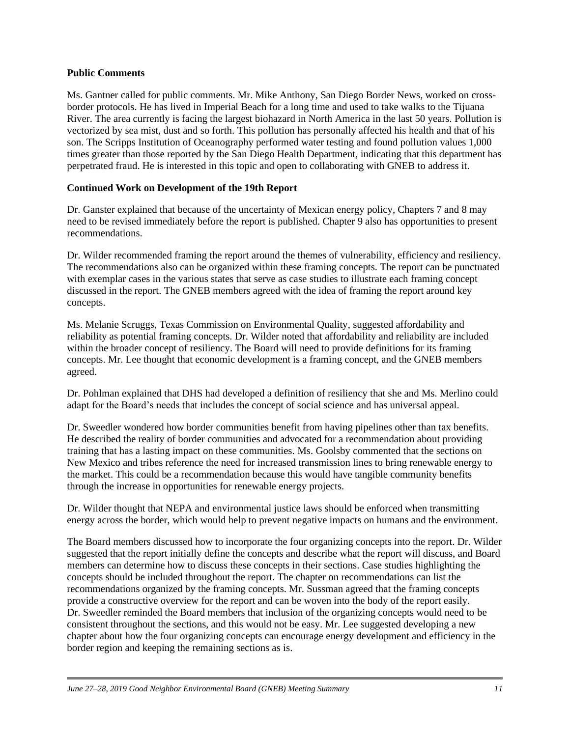### **Public Comments**

Ms. Gantner called for public comments. Mr. Mike Anthony, San Diego Border News, worked on crossborder protocols. He has lived in Imperial Beach for a long time and used to take walks to the Tijuana River. The area currently is facing the largest biohazard in North America in the last 50 years. Pollution is vectorized by sea mist, dust and so forth. This pollution has personally affected his health and that of his son. The Scripps Institution of Oceanography performed water testing and found pollution values 1,000 times greater than those reported by the San Diego Health Department, indicating that this department has perpetrated fraud. He is interested in this topic and open to collaborating with GNEB to address it.

## **Continued Work on Development of the 19th Report**

Dr. Ganster explained that because of the uncertainty of Mexican energy policy, Chapters 7 and 8 may need to be revised immediately before the report is published. Chapter 9 also has opportunities to present recommendations.

Dr. Wilder recommended framing the report around the themes of vulnerability, efficiency and resiliency. The recommendations also can be organized within these framing concepts. The report can be punctuated with exemplar cases in the various states that serve as case studies to illustrate each framing concept discussed in the report. The GNEB members agreed with the idea of framing the report around key concepts.

Ms. Melanie Scruggs, Texas Commission on Environmental Quality, suggested affordability and reliability as potential framing concepts. Dr. Wilder noted that affordability and reliability are included within the broader concept of resiliency. The Board will need to provide definitions for its framing concepts. Mr. Lee thought that economic development is a framing concept, and the GNEB members agreed.

Dr. Pohlman explained that DHS had developed a definition of resiliency that she and Ms. Merlino could adapt for the Board's needs that includes the concept of social science and has universal appeal.

Dr. Sweedler wondered how border communities benefit from having pipelines other than tax benefits. He described the reality of border communities and advocated for a recommendation about providing training that has a lasting impact on these communities. Ms. Goolsby commented that the sections on New Mexico and tribes reference the need for increased transmission lines to bring renewable energy to the market. This could be a recommendation because this would have tangible community benefits through the increase in opportunities for renewable energy projects.

Dr. Wilder thought that NEPA and environmental justice laws should be enforced when transmitting energy across the border, which would help to prevent negative impacts on humans and the environment.

The Board members discussed how to incorporate the four organizing concepts into the report. Dr. Wilder suggested that the report initially define the concepts and describe what the report will discuss, and Board members can determine how to discuss these concepts in their sections. Case studies highlighting the concepts should be included throughout the report. The chapter on recommendations can list the recommendations organized by the framing concepts. Mr. Sussman agreed that the framing concepts provide a constructive overview for the report and can be woven into the body of the report easily. Dr. Sweedler reminded the Board members that inclusion of the organizing concepts would need to be consistent throughout the sections, and this would not be easy. Mr. Lee suggested developing a new chapter about how the four organizing concepts can encourage energy development and efficiency in the border region and keeping the remaining sections as is.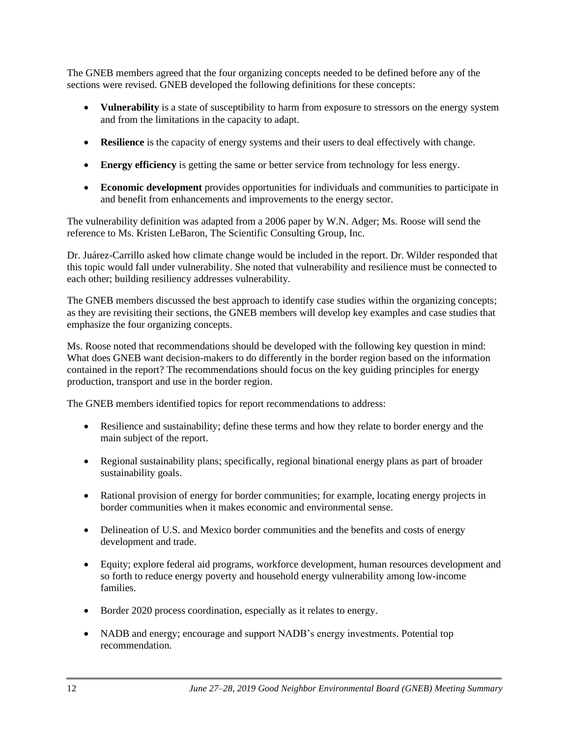The GNEB members agreed that the four organizing concepts needed to be defined before any of the sections were revised. GNEB developed the following definitions for these concepts:

- **Vulnerability** is a state of susceptibility to harm from exposure to stressors on the energy system and from the limitations in the capacity to adapt.
- **Resilience** is the capacity of energy systems and their users to deal effectively with change.
- **Energy efficiency** is getting the same or better service from technology for less energy.
- **Economic development** provides opportunities for individuals and communities to participate in and benefit from enhancements and improvements to the energy sector.

The vulnerability definition was adapted from a 2006 paper by W.N. Adger; Ms. Roose will send the reference to Ms. Kristen LeBaron, The Scientific Consulting Group, Inc.

Dr. Juárez-Carrillo asked how climate change would be included in the report. Dr. Wilder responded that this topic would fall under vulnerability. She noted that vulnerability and resilience must be connected to each other; building resiliency addresses vulnerability.

The GNEB members discussed the best approach to identify case studies within the organizing concepts; as they are revisiting their sections, the GNEB members will develop key examples and case studies that emphasize the four organizing concepts.

Ms. Roose noted that recommendations should be developed with the following key question in mind: What does GNEB want decision-makers to do differently in the border region based on the information contained in the report? The recommendations should focus on the key guiding principles for energy production, transport and use in the border region.

The GNEB members identified topics for report recommendations to address:

- Resilience and sustainability; define these terms and how they relate to border energy and the main subject of the report.
- Regional sustainability plans; specifically, regional binational energy plans as part of broader sustainability goals.
- Rational provision of energy for border communities; for example, locating energy projects in border communities when it makes economic and environmental sense.
- Delineation of U.S. and Mexico border communities and the benefits and costs of energy development and trade.
- Equity; explore federal aid programs, workforce development, human resources development and so forth to reduce energy poverty and household energy vulnerability among low-income families.
- Border 2020 process coordination, especially as it relates to energy.
- NADB and energy; encourage and support NADB's energy investments. Potential top recommendation.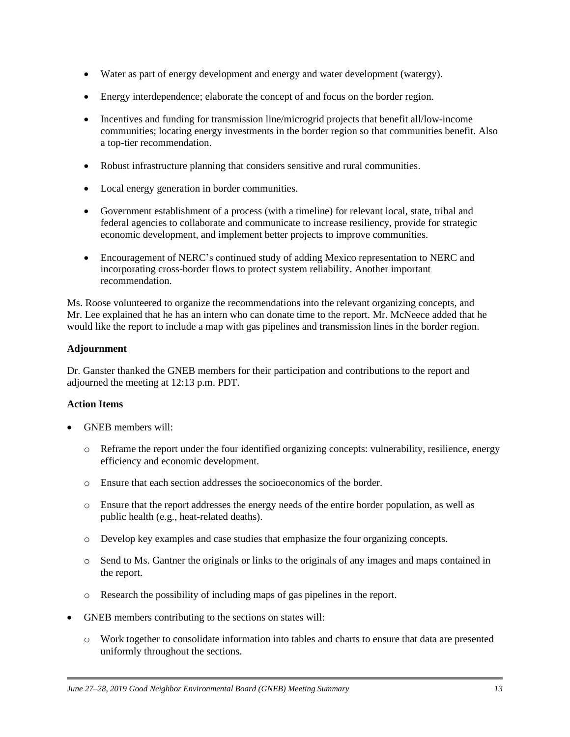- Water as part of energy development and energy and water development (watergy).
- Energy interdependence; elaborate the concept of and focus on the border region.
- Incentives and funding for transmission line/microgrid projects that benefit all/low-income communities; locating energy investments in the border region so that communities benefit. Also a top-tier recommendation.
- Robust infrastructure planning that considers sensitive and rural communities.
- Local energy generation in border communities.
- Government establishment of a process (with a timeline) for relevant local, state, tribal and federal agencies to collaborate and communicate to increase resiliency, provide for strategic economic development, and implement better projects to improve communities.
- Encouragement of NERC's continued study of adding Mexico representation to NERC and incorporating cross-border flows to protect system reliability. Another important recommendation.

Ms. Roose volunteered to organize the recommendations into the relevant organizing concepts, and Mr. Lee explained that he has an intern who can donate time to the report. Mr. McNeece added that he would like the report to include a map with gas pipelines and transmission lines in the border region.

## **Adjournment**

Dr. Ganster thanked the GNEB members for their participation and contributions to the report and adjourned the meeting at 12:13 p.m. PDT.

## **Action Items**

- GNEB members will:
	- o Reframe the report under the four identified organizing concepts: vulnerability, resilience, energy efficiency and economic development.
	- o Ensure that each section addresses the socioeconomics of the border.
	- o Ensure that the report addresses the energy needs of the entire border population, as well as public health (e.g., heat-related deaths).
	- o Develop key examples and case studies that emphasize the four organizing concepts.
	- o Send to Ms. Gantner the originals or links to the originals of any images and maps contained in the report.
	- o Research the possibility of including maps of gas pipelines in the report.
- GNEB members contributing to the sections on states will:
	- o Work together to consolidate information into tables and charts to ensure that data are presented uniformly throughout the sections.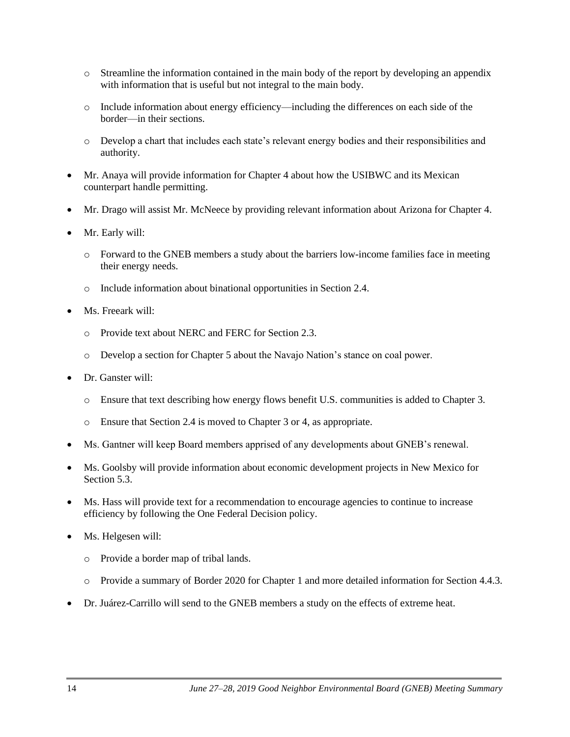- o Streamline the information contained in the main body of the report by developing an appendix with information that is useful but not integral to the main body.
- o Include information about energy efficiency—including the differences on each side of the border—in their sections.
- o Develop a chart that includes each state's relevant energy bodies and their responsibilities and authority.
- Mr. Anaya will provide information for Chapter 4 about how the USIBWC and its Mexican counterpart handle permitting.
- Mr. Drago will assist Mr. McNeece by providing relevant information about Arizona for Chapter 4.
- Mr. Early will:
	- o Forward to the GNEB members a study about the barriers low-income families face in meeting their energy needs.
	- o Include information about binational opportunities in Section 2.4.
- Ms. Freeark will:
	- o Provide text about NERC and FERC for Section 2.3.
	- o Develop a section for Chapter 5 about the Navajo Nation's stance on coal power.
- Dr. Ganster will:
	- o Ensure that text describing how energy flows benefit U.S. communities is added to Chapter 3.
	- o Ensure that Section 2.4 is moved to Chapter 3 or 4, as appropriate.
- Ms. Gantner will keep Board members apprised of any developments about GNEB's renewal.
- Ms. Goolsby will provide information about economic development projects in New Mexico for Section 5.3.
- Ms. Hass will provide text for a recommendation to encourage agencies to continue to increase efficiency by following the One Federal Decision policy.
- Ms. Helgesen will:
	- o Provide a border map of tribal lands.
	- o Provide a summary of Border 2020 for Chapter 1 and more detailed information for Section 4.4.3.
- Dr. Juárez-Carrillo will send to the GNEB members a study on the effects of extreme heat.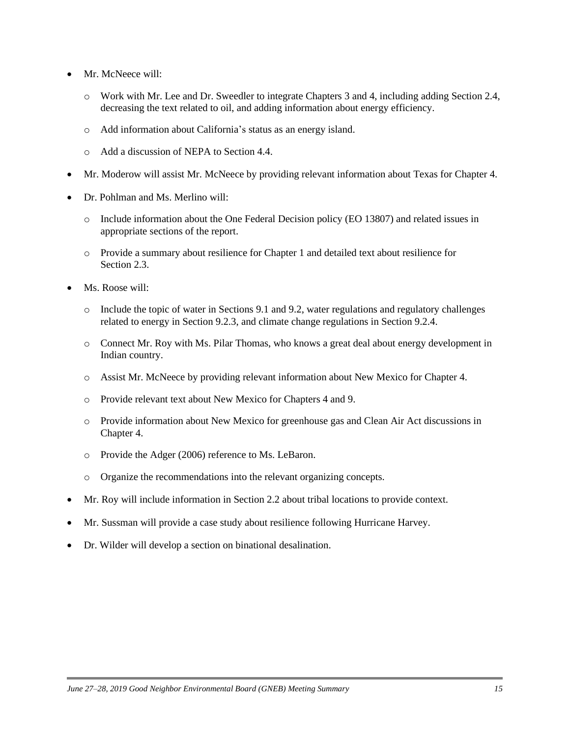- Mr. McNeece will:
	- o Work with Mr. Lee and Dr. Sweedler to integrate Chapters 3 and 4, including adding Section 2.4, decreasing the text related to oil, and adding information about energy efficiency.
	- o Add information about California's status as an energy island.
	- o Add a discussion of NEPA to Section 4.4.
- Mr. Moderow will assist Mr. McNeece by providing relevant information about Texas for Chapter 4.
- Dr. Pohlman and Ms. Merlino will:
	- o Include information about the One Federal Decision policy (EO 13807) and related issues in appropriate sections of the report.
	- o Provide a summary about resilience for Chapter 1 and detailed text about resilience for Section 2.3.
- Ms. Roose will:
	- o Include the topic of water in Sections 9.1 and 9.2, water regulations and regulatory challenges related to energy in Section 9.2.3, and climate change regulations in Section 9.2.4.
	- o Connect Mr. Roy with Ms. Pilar Thomas, who knows a great deal about energy development in Indian country.
	- o Assist Mr. McNeece by providing relevant information about New Mexico for Chapter 4.
	- o Provide relevant text about New Mexico for Chapters 4 and 9.
	- o Provide information about New Mexico for greenhouse gas and Clean Air Act discussions in Chapter 4.
	- o Provide the Adger (2006) reference to Ms. LeBaron.
	- o Organize the recommendations into the relevant organizing concepts.
- Mr. Roy will include information in Section 2.2 about tribal locations to provide context.
- Mr. Sussman will provide a case study about resilience following Hurricane Harvey.
- Dr. Wilder will develop a section on binational desalination.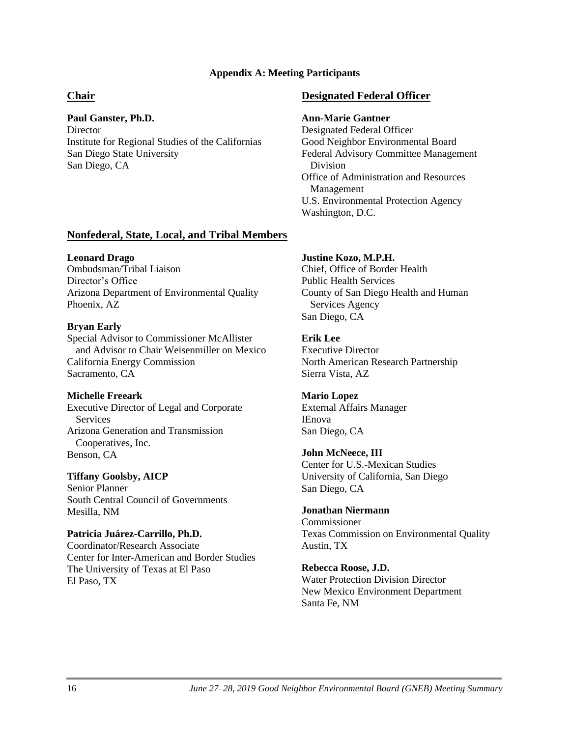### **Appendix A: Meeting Participants**

## **Chair**

## **Paul Ganster, Ph.D.**

**Director** Institute for Regional Studies of the Californias San Diego State University San Diego, CA

## **Designated Federal Officer**

### **Ann-Marie Gantner**

Designated Federal Officer Good Neighbor Environmental Board Federal Advisory Committee Management Division Office of Administration and Resources Management U.S. Environmental Protection Agency Washington, D.C.

## **Nonfederal, State, Local, and Tribal Members**

## **Leonard Drago**

Ombudsman/Tribal Liaison Director's Office Arizona Department of Environmental Quality Phoenix, AZ

## **Bryan Early**

Special Advisor to Commissioner McAllister and Advisor to Chair Weisenmiller on Mexico California Energy Commission Sacramento, CA

## **Michelle Freeark**

Executive Director of Legal and Corporate Services Arizona Generation and Transmission Cooperatives, Inc. Benson, CA

## **Tiffany Goolsby, AICP**

Senior Planner South Central Council of Governments Mesilla, NM

## **Patricia Juárez-Carrillo, Ph.D.**

Coordinator/Research Associate Center for Inter-American and Border Studies The University of Texas at El Paso El Paso, TX

#### **Justine Kozo, M.P.H.**

Chief, Office of Border Health Public Health Services County of San Diego Health and Human Services Agency San Diego, CA

# **Erik Lee**

Executive Director North American Research Partnership Sierra Vista, AZ

## **Mario Lopez**

External Affairs Manager IEnova San Diego, CA

### **John McNeece, III**

Center for U.S.-Mexican Studies University of California, San Diego San Diego, CA

### **Jonathan Niermann**

Commissioner Texas Commission on Environmental Quality Austin, TX

### **Rebecca Roose, J.D.**

Water Protection Division Director New Mexico Environment Department Santa Fe, NM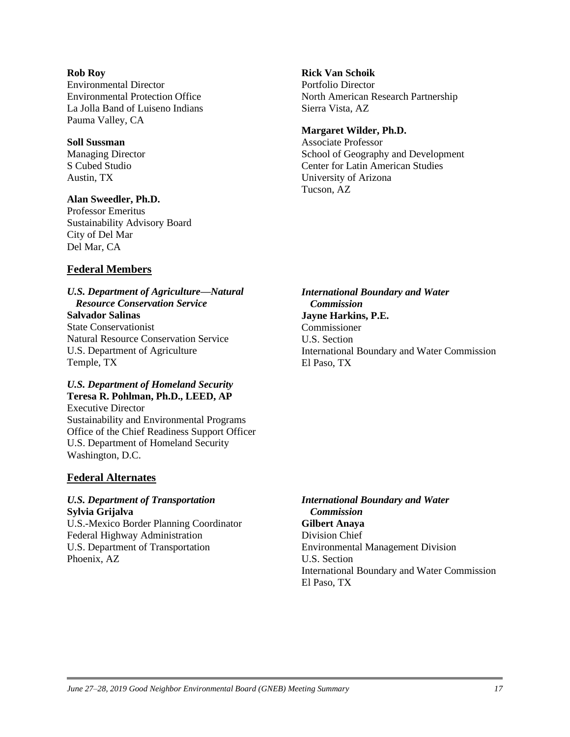#### **Rob Roy**

Environmental Director Environmental Protection Office La Jolla Band of Luiseno Indians Pauma Valley, CA

#### **Soll Sussman**

Managing Director S Cubed Studio Austin, TX

### **Alan Sweedler, Ph.D.**

Professor Emeritus Sustainability Advisory Board City of Del Mar Del Mar, CA

## **Federal Members**

## *U.S. Department of Agriculture—Natural Resource Conservation Service* **Salvador Salinas**

State Conservationist Natural Resource Conservation Service U.S. Department of Agriculture Temple, TX

#### *U.S. Department of Homeland Security*  **Teresa R. Pohlman, Ph.D., LEED, AP**

Executive Director Sustainability and Environmental Programs Office of the Chief Readiness Support Officer U.S. Department of Homeland Security Washington, D.C.

## **Federal Alternates**

## *U.S. Department of Transportation* **Sylvia Grijalva**

U.S.-Mexico Border Planning Coordinator Federal Highway Administration U.S. Department of Transportation Phoenix, AZ

## **Rick Van Schoik**

Portfolio Director North American Research Partnership Sierra Vista, AZ

### **Margaret Wilder, Ph.D.**

Associate Professor School of Geography and Development Center for Latin American Studies University of Arizona Tucson, AZ

*International Boundary and Water Commission* **Jayne Harkins, P.E.** Commissioner U.S. Section International Boundary and Water Commission El Paso, TX

*International Boundary and Water Commission* **Gilbert Anaya** Division Chief Environmental Management Division U.S. Section International Boundary and Water Commission El Paso, TX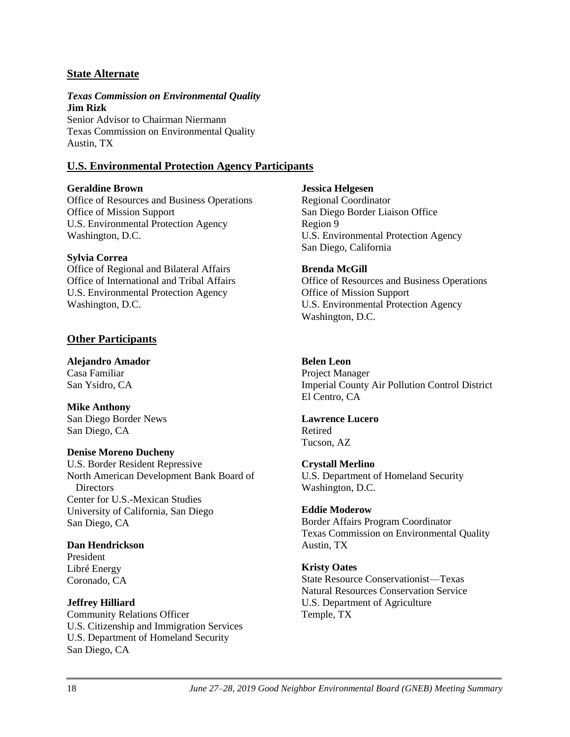## **State Alternate**

### *Texas Commission on Environmental Quality* **Jim Rizk**

Senior Advisor to Chairman Niermann Texas Commission on Environmental Quality Austin, TX

## **U.S. Environmental Protection Agency Participants**

## **Geraldine Brown**

Office of Resources and Business Operations Office of Mission Support U.S. Environmental Protection Agency Washington, D.C.

## **Sylvia Correa**

Office of Regional and Bilateral Affairs Office of International and Tribal Affairs U.S. Environmental Protection Agency Washington, D.C.

## **Other Participants**

**Alejandro Amador** Casa Familiar San Ysidro, CA

**Mike Anthony** San Diego Border News San Diego, CA

## **Denise Moreno Ducheny**

U.S. Border Resident Repressive North American Development Bank Board of Directors Center for U.S.-Mexican Studies University of California, San Diego San Diego, CA

## **Dan Hendrickson**

President Libré Energy Coronado, CA

## **Jeffrey Hilliard**

Community Relations Officer U.S. Citizenship and Immigration Services U.S. Department of Homeland Security San Diego, CA

#### **Jessica Helgesen**

Regional Coordinator San Diego Border Liaison Office Region 9 U.S. Environmental Protection Agency San Diego, California

### **Brenda McGill**

Office of Resources and Business Operations Office of Mission Support U.S. Environmental Protection Agency Washington, D.C.

## **Belen Leon**

Project Manager Imperial County Air Pollution Control District El Centro, CA

### **Lawrence Lucero**

Retired Tucson, AZ

## **Crystall Merlino**

U.S. Department of Homeland Security Washington, D.C.

### **Eddie Moderow**

Border Affairs Program Coordinator Texas Commission on Environmental Quality Austin, TX

### **Kristy Oates**

State Resource Conservationist—Texas Natural Resources Conservation Service U.S. Department of Agriculture Temple, TX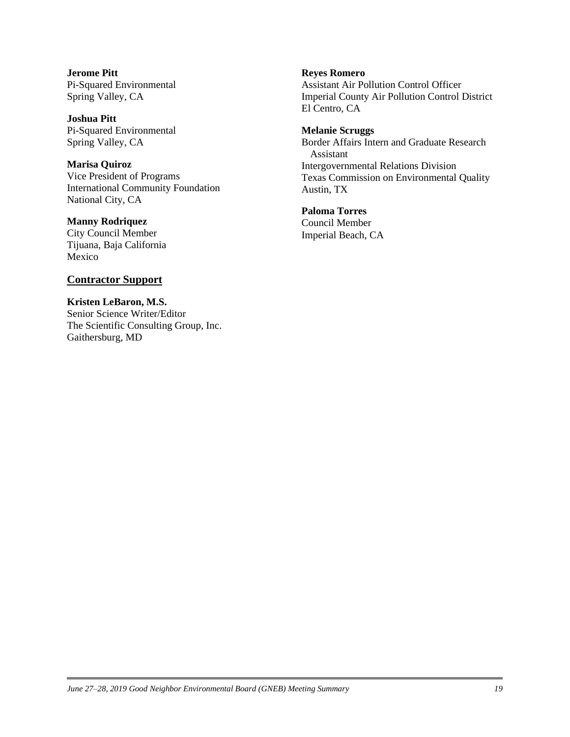**Jerome Pitt** Pi-Squared Environmental Spring Valley, CA

**Joshua Pitt** Pi-Squared Environmental Spring Valley, CA

**Marisa Quiroz** Vice President of Programs International Community Foundation National City, CA

**Manny Rodriquez** City Council Member Tijuana, Baja California Mexico

### **Contractor Support**

**Kristen LeBaron, M.S.** Senior Science Writer/Editor The Scientific Consulting Group, Inc. Gaithersburg, MD

#### **Reyes Romero**

Assistant Air Pollution Control Officer Imperial County Air Pollution Control District El Centro, CA

**Melanie Scruggs**

Border Affairs Intern and Graduate Research Assistant Intergovernmental Relations Division Texas Commission on Environmental Quality Austin, TX

**Paloma Torres**

Council Member Imperial Beach, CA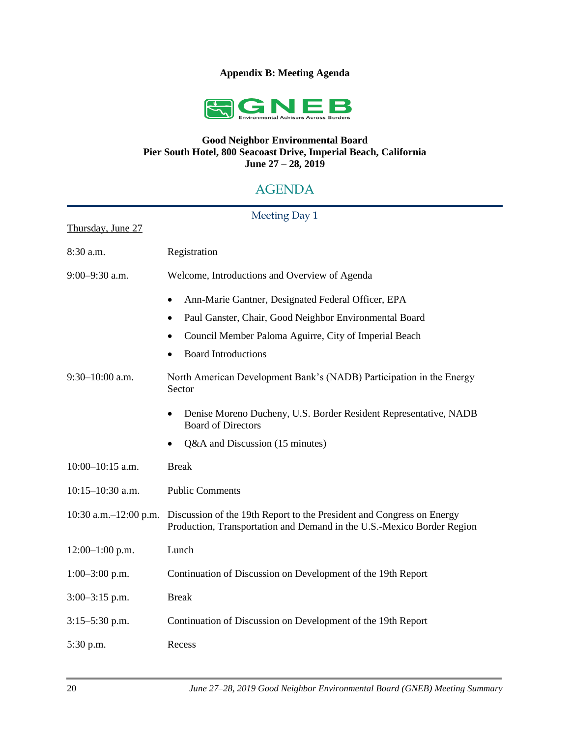## **Appendix B: Meeting Agenda**



## **Good Neighbor Environmental Board Pier South Hotel, 800 Seacoast Drive, Imperial Beach, California June 27 – 28, 2019**

# AGENDA

| Meeting Day 1              |                                                                                                                                                 |
|----------------------------|-------------------------------------------------------------------------------------------------------------------------------------------------|
| Thursday, June 27          |                                                                                                                                                 |
| 8:30 a.m.                  | Registration                                                                                                                                    |
| $9:00 - 9:30$ a.m.         | Welcome, Introductions and Overview of Agenda                                                                                                   |
|                            | Ann-Marie Gantner, Designated Federal Officer, EPA<br>$\bullet$<br>Paul Ganster, Chair, Good Neighbor Environmental Board<br>٠                  |
|                            | Council Member Paloma Aguirre, City of Imperial Beach<br><b>Board Introductions</b>                                                             |
| $9:30-10:00$ a.m.          | North American Development Bank's (NADB) Participation in the Energy<br>Sector                                                                  |
|                            | Denise Moreno Ducheny, U.S. Border Resident Representative, NADB<br>$\bullet$<br><b>Board of Directors</b>                                      |
|                            | Q&A and Discussion (15 minutes)<br>٠                                                                                                            |
| $10:00-10:15$ a.m.         | <b>Break</b>                                                                                                                                    |
| $10:15-10:30$ a.m.         | <b>Public Comments</b>                                                                                                                          |
| $10:30$ a.m. $-12:00$ p.m. | Discussion of the 19th Report to the President and Congress on Energy<br>Production, Transportation and Demand in the U.S.-Mexico Border Region |
| $12:00-1:00$ p.m.          | Lunch                                                                                                                                           |
| $1:00-3:00$ p.m.           | Continuation of Discussion on Development of the 19th Report                                                                                    |
| $3:00-3:15$ p.m.           | <b>Break</b>                                                                                                                                    |
| $3:15 - 5:30$ p.m.         | Continuation of Discussion on Development of the 19th Report                                                                                    |
| 5:30 p.m.                  | Recess                                                                                                                                          |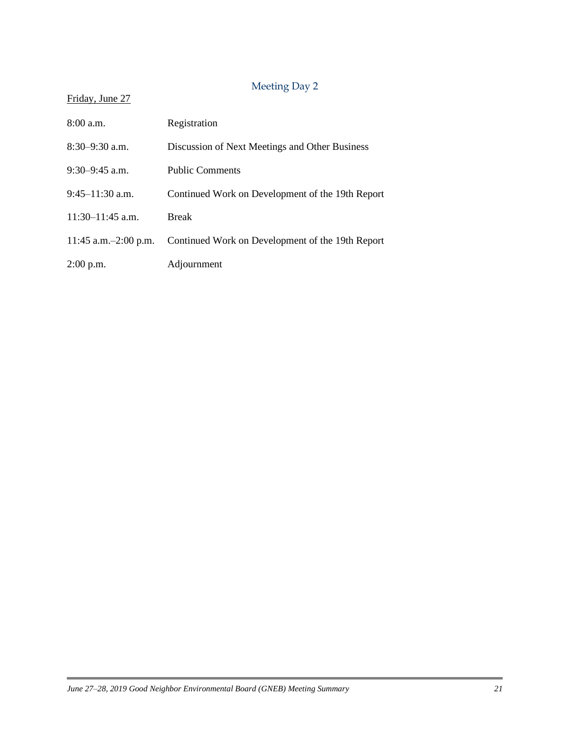# Meeting Day 2

## Friday, June 27

| $8:00$ a.m.             | Registration                                     |
|-------------------------|--------------------------------------------------|
| $8:30-9:30$ a.m.        | Discussion of Next Meetings and Other Business   |
| $9:30-9:45$ a.m.        | <b>Public Comments</b>                           |
| $9:45-11:30$ a.m.       | Continued Work on Development of the 19th Report |
| $11:30-11:45$ a.m.      | <b>Break</b>                                     |
| 11:45 a.m. $-2:00$ p.m. | Continued Work on Development of the 19th Report |
| $2:00$ p.m.             | Adjournment                                      |